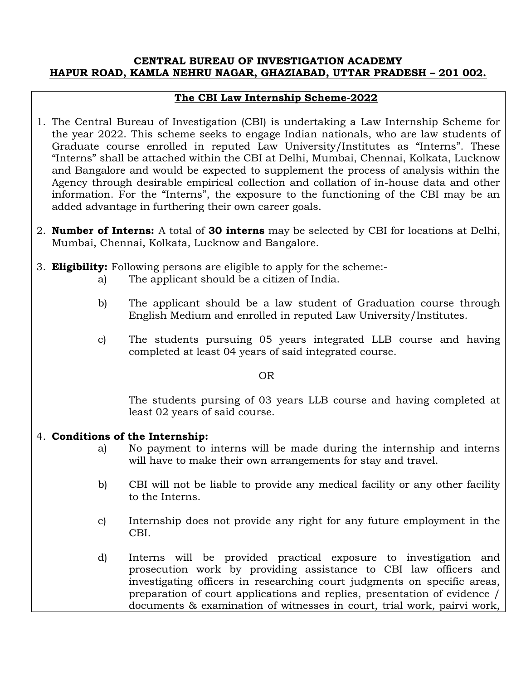### CENTRAL BUREAU OF INVESTIGATION ACADEMY HAPUR ROAD, KAMLA NEHRU NAGAR, GHAZIABAD, UTTAR PRADESH – 201 002.

# The CBI Law Internship Scheme-2022

- 1. The Central Bureau of Investigation (CBI) is undertaking a Law Internship Scheme for the year 2022. This scheme seeks to engage Indian nationals, who are law students of Graduate course enrolled in reputed Law University/Institutes as "Interns". These "Interns" shall be attached within the CBI at Delhi, Mumbai, Chennai, Kolkata, Lucknow and Bangalore and would be expected to supplement the process of analysis within the Agency through desirable empirical collection and collation of in-house data and other information. For the "Interns", the exposure to the functioning of the CBI may be an added advantage in furthering their own career goals.
- 2. **Number of Interns:** A total of 30 interns may be selected by CBI for locations at Delhi, Mumbai, Chennai, Kolkata, Lucknow and Bangalore.
- 3. **Eligibility:** Following persons are eligible to apply for the scheme:
	- a) The applicant should be a citizen of India.
	- b) The applicant should be a law student of Graduation course through English Medium and enrolled in reputed Law University/Institutes.
	- c) The students pursuing 05 years integrated LLB course and having completed at least 04 years of said integrated course.

### **OR** OR

The students pursing of 03 years LLB course and having completed at least 02 years of said course.

## 4. Conditions of the Internship:

- a) No payment to interns will be made during the internship and interns will have to make their own arrangements for stay and travel.
- b) CBI will not be liable to provide any medical facility or any other facility to the Interns.
- c) Internship does not provide any right for any future employment in the CBI.
- d) Interns will be provided practical exposure to investigation and prosecution work by providing assistance to CBI law officers and investigating officers in researching court judgments on specific areas, preparation of court applications and replies, presentation of evidence / documents & examination of witnesses in court, trial work, pairvi work,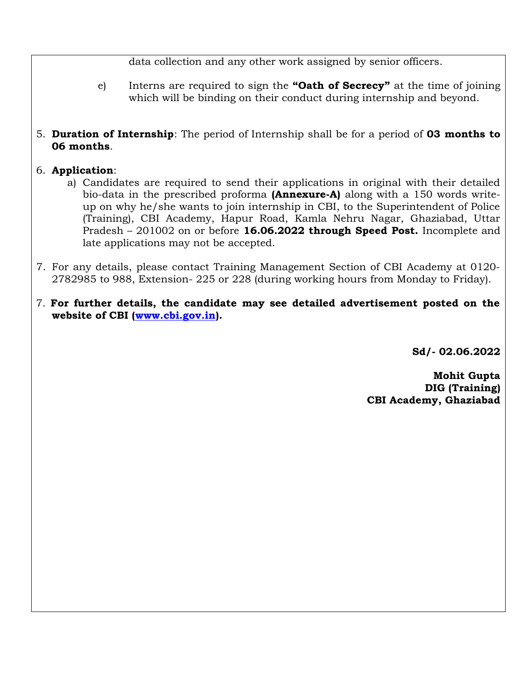data collection and any other work assigned by senior officers.

- e) Interns are required to sign the "Oath of Secrecy" at the time of joining which will be binding on their conduct during internship and beyond.
- 5. Duration of Internship: The period of Internship shall be for a period of 03 months to 06 months.

# 6. Application:

- a) Candidates are required to send their applications in original with their detailed bio-data in the prescribed proforma **(Annexure-A)** along with a 150 words writeup on why he/she wants to join internship in CBI, to the Superintendent of Police (Training), CBI Academy, Hapur Road, Kamla Nehru Nagar, Ghaziabad, Uttar Pradesh – 201002 on or before 16.06.2022 through Speed Post. Incomplete and late applications may not be accepted.
- 7. For any details, please contact Training Management Section of CBI Academy at 0120- 2782985 to 988, Extension- 225 or 228 (during working hours from Monday to Friday).
- 7. For further details, the candidate may see detailed advertisement posted on the website of CBI (www.cbi.gov.in).

Sd/- 02.06.2022

Mohit Gupta DIG (Training) CBI Academy, Ghaziabad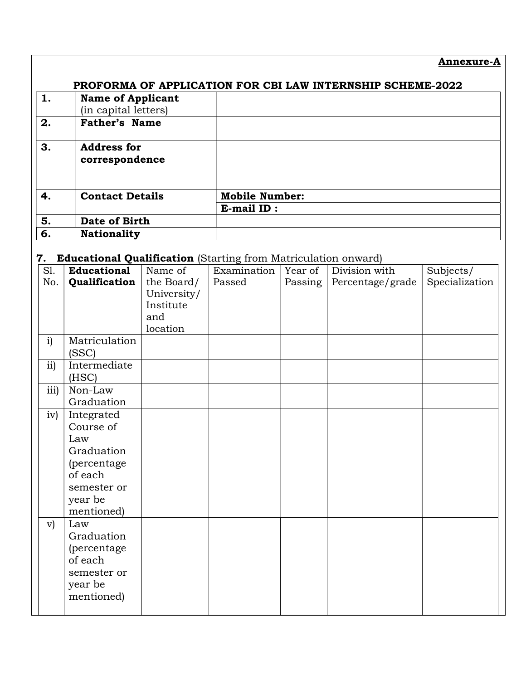Annexure-A

| 1. | <b>Name of Applicant</b><br>(in capital letters) |                       |
|----|--------------------------------------------------|-----------------------|
| 2. | <b>Father's Name</b>                             |                       |
| 3. | <b>Address for</b><br>correspondence             |                       |
| 4. | <b>Contact Details</b>                           | <b>Mobile Number:</b> |
|    |                                                  | E-mail ID:            |
| 5. | Date of Birth                                    |                       |
| 6. | <b>Nationality</b>                               |                       |

# 7. Educational Qualification (Starting from Matriculation onward)

| S1.          | <b>Educational</b>     | Name of     | Examination | Year of | Division with    | Subjects/      |
|--------------|------------------------|-------------|-------------|---------|------------------|----------------|
| No.          | Qualification          | the Board/  | Passed      | Passing | Percentage/grade | Specialization |
|              |                        | University/ |             |         |                  |                |
|              |                        | Institute   |             |         |                  |                |
|              |                        | and         |             |         |                  |                |
|              |                        | location    |             |         |                  |                |
| i)           | Matriculation<br>(SSC) |             |             |         |                  |                |
| ii)          | Intermediate           |             |             |         |                  |                |
|              | (HSC)                  |             |             |         |                  |                |
| iii)         | Non-Law                |             |             |         |                  |                |
|              | Graduation             |             |             |         |                  |                |
| iv)          | Integrated             |             |             |         |                  |                |
|              | Course of              |             |             |         |                  |                |
|              | Law                    |             |             |         |                  |                |
|              | Graduation             |             |             |         |                  |                |
|              | (percentage            |             |             |         |                  |                |
|              | of each                |             |             |         |                  |                |
|              | semester or            |             |             |         |                  |                |
|              | year be                |             |             |         |                  |                |
|              | mentioned)             |             |             |         |                  |                |
| $\mathbf{v}$ | Law                    |             |             |         |                  |                |
|              | Graduation             |             |             |         |                  |                |
|              | (percentage            |             |             |         |                  |                |
|              | of each                |             |             |         |                  |                |
|              | semester or            |             |             |         |                  |                |
|              | year be                |             |             |         |                  |                |
|              | mentioned)             |             |             |         |                  |                |
|              |                        |             |             |         |                  |                |